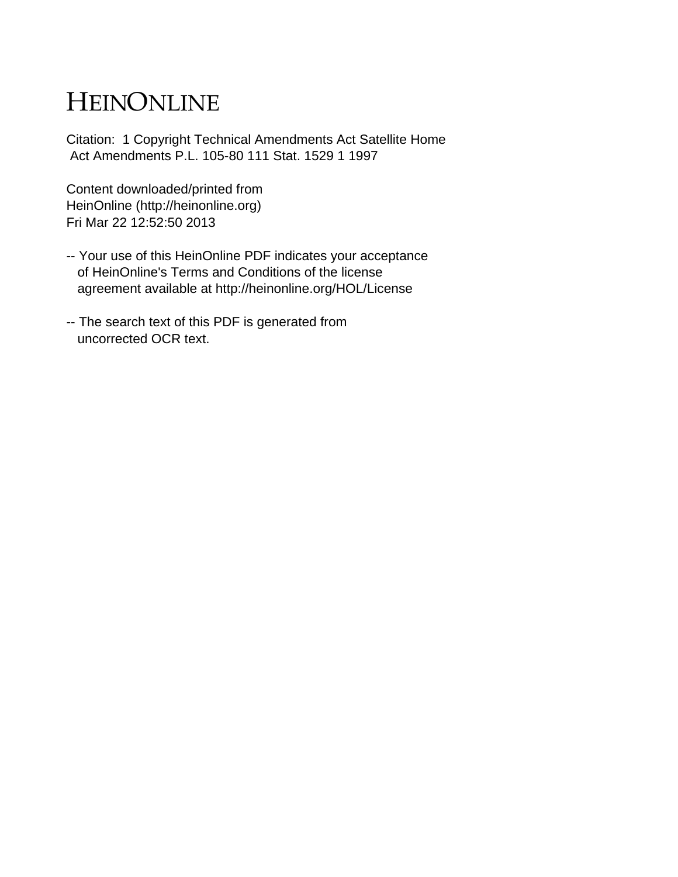# HEINONLINE

Citation: 1 Copyright Technical Amendments Act Satellite Home Act Amendments P.L. 105-80 111 Stat. 1529 1 1997

Content downloaded/printed from HeinOnline (http://heinonline.org) Fri Mar 22 12:52:50 2013

- -- Your use of this HeinOnline PDF indicates your acceptance of HeinOnline's Terms and Conditions of the license agreement available at http://heinonline.org/HOL/License
- -- The search text of this PDF is generated from uncorrected OCR text.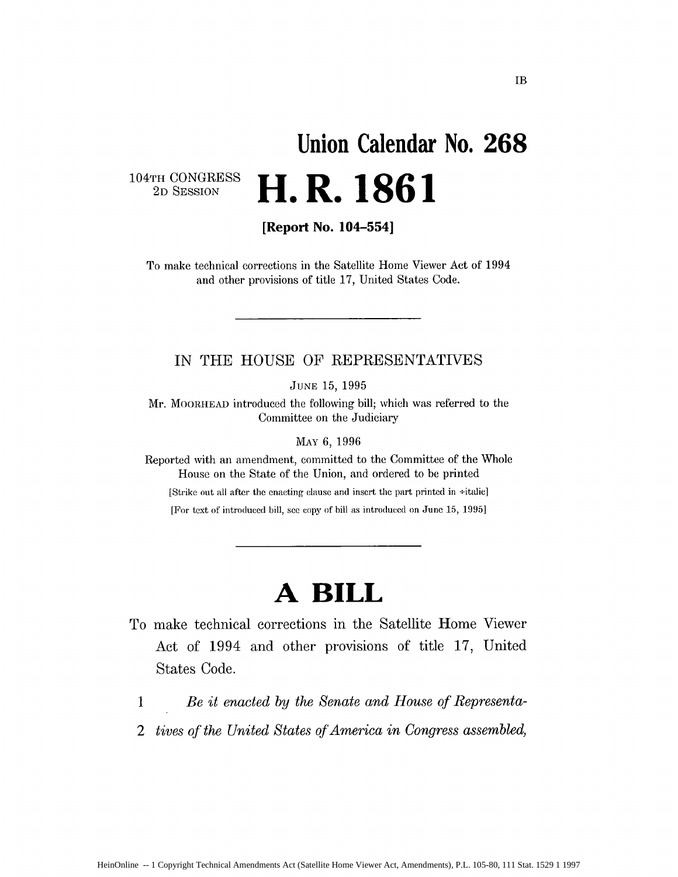# **Union Calendar No. 268 2D SET SET SESSION**

104TH CONGRESS<br>2D SESSION

**[Report No. 104-554]**

To make technical corrections in the Satellite Home Viewer Act of 1994 and other provisions of title 17, United States Code.

# **IN** THE **HOUSE** OF REPRESENTATIVES

**JUNE** 15, 1995

Mr. MOORHEAD introduced the following bill; which was referred to the Committee on the Judiciary

MAY 6, 1996

Reported with an amendment, committed to the Committee of the Whole House on the State of the Union, and ordered to be printed

[Strike out all after the enacting clause and insert the part printed in  $\div$ italic]

[For text of introduced bill, see copy of bill as introduced on June 15, 1995]

# **A BILL**

- To make technical corrections in the Satellite Home Viewer Act of 1994 and other provisions of title 17, United States Code.
	- **I** *Be it enacted by the Senate and House of Representa-*
	- *2 tives of the United States of America in Congress assembled,*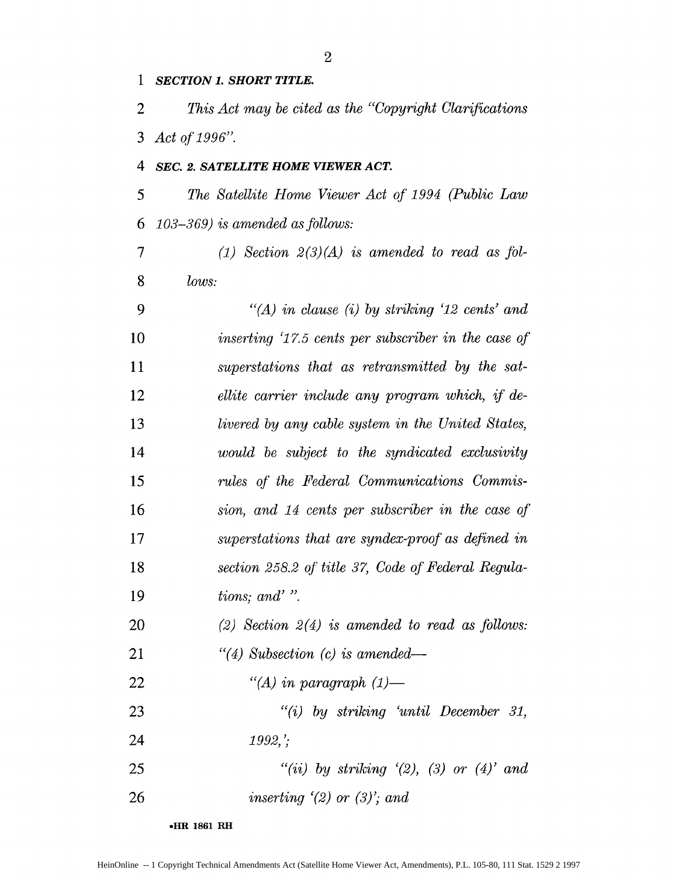# *SECTION 1. SHORT TITLE.*

*This Act may be cited as the "Copyright Clarifications Act of 1996".*

# *SEC. 2. SATELLITE HOME VIEWER ACT.*

*5 The Satellite Home Viewer Act of 1994 (Public Law 6 103-369) is amended as fbllows:*

 (1) Section 2(3)(A) is amended to read as fol-*lows:*

*9 "(A) in clause (i) by striking '12 cents' and inserting '17.5 cents per subscriber in the case of superstations that as retransmitted by the sat-ellite carrier include any program which, if de-livered by any cable system in the United States, would be subject to the syndicated exclusivity rules of the Federal Communications Commis-sion, and 14 cents per subscriber in the case qf superstations that are syndex-proof as defined in section 258.2 of title 37, Code of Federal Regula-tions; and'* ". *(2) Section 2(4) is amended to read as follows:*

*"(4) Subsection (c) is amended-*

*"(A) in paragraph (1)-*

*"(i) by striking 'until December 31, 1992, '.*

*"(ii) by striking '(2), (3) or (4)' and*

*inserting '(2) or (3)'; and*

**eHR 1861 RH**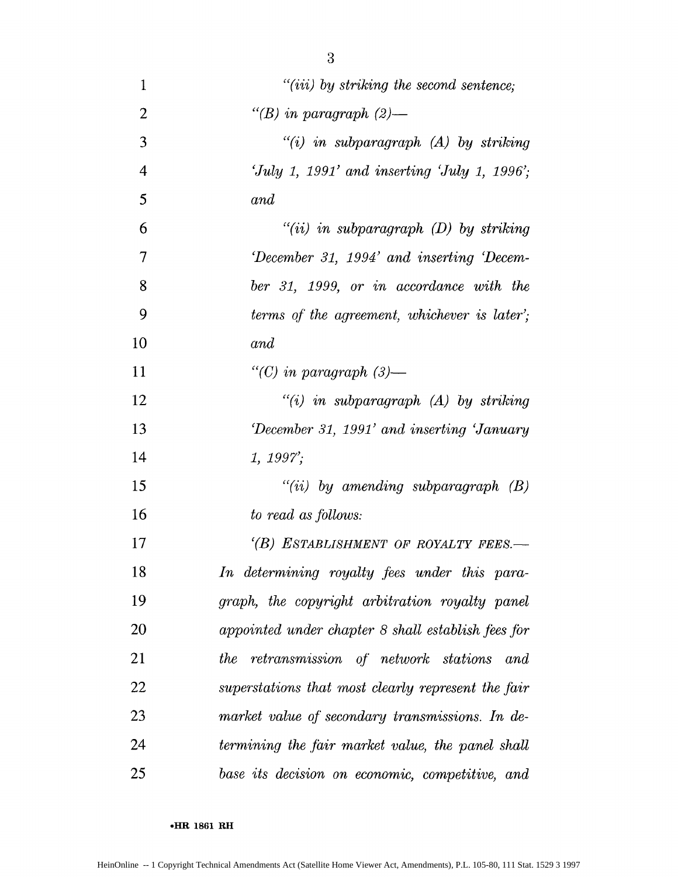| $\mathbf{1}$             | $"(iii)$ by striking the second sentence;          |
|--------------------------|----------------------------------------------------|
| $\overline{2}$           | "(B) in paragraph $(2)$ —                          |
| 3                        | $"(i)$ in subparagraph $(A)$ by striking           |
| $\overline{4}$           | 'July 1, 1991' and inserting 'July 1, 1996';       |
| 5                        | and                                                |
| 6                        | $"(ii)$ in subparagraph $(D)$ by striking          |
| $\overline{\mathcal{L}}$ | December 31, 1994' and inserting Decem-            |
| 8                        | ber 31, 1999, or in accordance with the            |
| 9                        | terms of the agreement, whichever is later';       |
| 10                       | and                                                |
| 11                       | "(C) in paragraph $(3)$ —                          |
| 12                       | $``(i)$ in subparagraph $(A)$ by striking          |
| 13                       | December 31, 1991' and inserting 'January          |
| 14                       | 1, 1997;                                           |
| 15                       | "(ii) by amending subparagraph $(B)$               |
| 16                       | to read as follows:                                |
| 17                       | (B) ESTABLISHMENT OF ROYALTY FEES.-                |
| 18                       | In determining royalty fees under this para-       |
| 19                       | graph, the copyright arbitration royalty panel     |
| 20                       | appointed under chapter 8 shall establish fees for |
| 21                       | the retransmission of network stations and         |
| 22                       | superstations that most clearly represent the fair |
| 23                       | market value of secondary transmissions. In de-    |
| 24                       | termining the fair market value, the panel shall   |
| 25                       | base its decision on economic, competitive, and    |

-HR **1861 RH**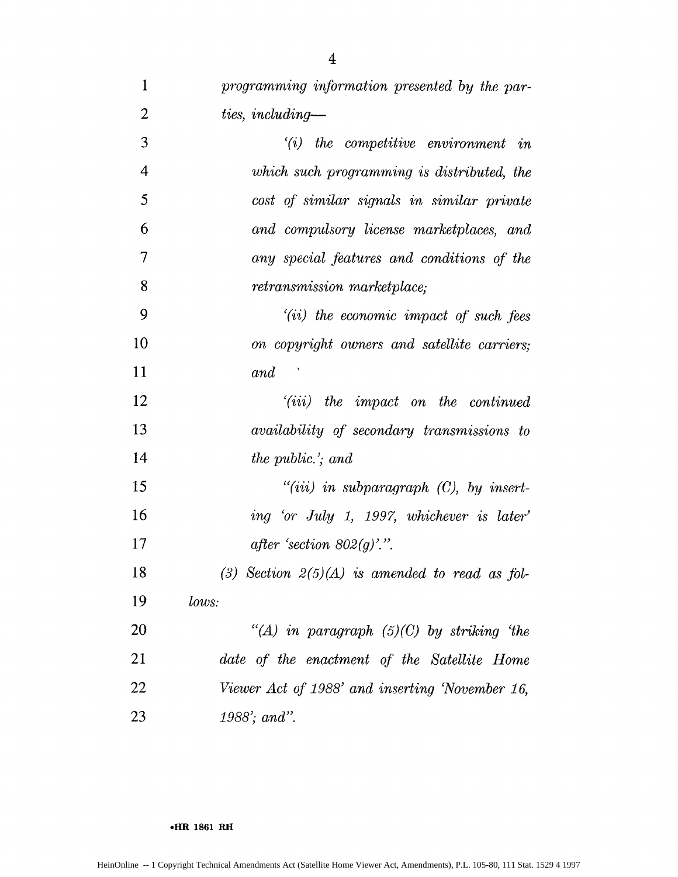| 1              | programming information presented by the par-     |
|----------------|---------------------------------------------------|
| $\overline{2}$ | ties, including—                                  |
| 3              | $(i)$ the competitive environment in              |
| $\overline{4}$ | which such programming is distributed, the        |
| 5              | cost of similar signals in similar private        |
| 6              | and compulsory license marketplaces, and          |
| 7              | any special features and conditions of the        |
| 8              | retransmission marketplace;                       |
| 9              | $(iii)$ the economic impact of such fees          |
| 10             | on copyright owners and satellite carriers;       |
| 11             | and                                               |
| 12             | $(iii)$ the impact on the continued               |
| 13             | <i>availability of secondary transmissions to</i> |
| 14             | the public.'; and                                 |
| 15             | $``(iii)$ in subparagraph $(C)$ , by insert-      |
| 16             | ing 'or July 1, 1997, whichever is later'         |
| 17             | after 'section $802(g)$ '.".                      |
| 18             | (3) Section $2(5)(A)$ is amended to read as fol-  |
| 19             | lows:                                             |
| 20             | "(A) in paragraph $(5)(C)$ by striking 'the       |
| 21             | date of the enactment of the Satellite Home       |
| 22             | Viewer Act of 1988' and inserting 'November 16,   |
| 23             | 1988'; and".                                      |

**\*HR 1861 RH**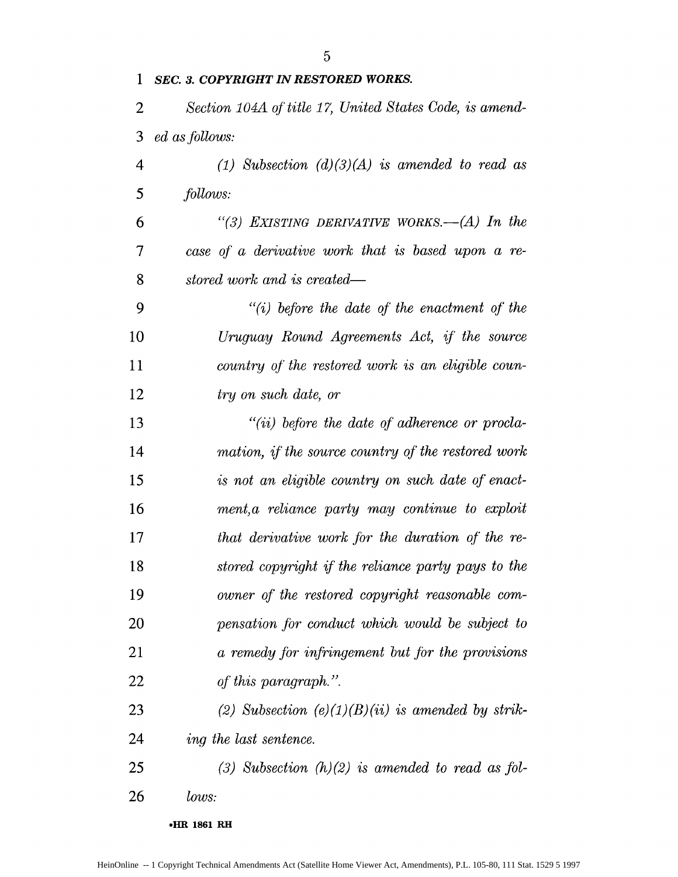| 1              | <b>SEC. 3. COPYRIGHT IN RESTORED WORKS.</b>             |
|----------------|---------------------------------------------------------|
| $\overline{2}$ | Section 104A of title 17, United States Code, is amend- |
| 3              | ed as follows:                                          |
| $\overline{4}$ | (1) Subsection $(d)(3)(A)$ is amended to read as        |
| 5              | follows:                                                |
| 6              | "(3) EXISTING DERIVATIVE WORKS.—(A) In the              |
| 7              | case of a derivative work that is based upon a re-      |
| 8              | stored work and is created—                             |
| 9              | $``(i)$ before the date of the enactment of the         |
| 10             | Uruguay Round Agreements Act, if the source             |
| 11             | country of the restored work is an eligible coun-       |
| 12             | try on such date, or                                    |
| 13             | $``(ii)$ before the date of adherence or procla-        |
| 14             | mation, if the source country of the restored work      |
| 15             | is not an eligible country on such date of enact-       |
| 16             | ment, a reliance party may continue to exploit          |
| 17             | that derivative work for the duration of the re-        |
| 18             | stored copyright if the reliance party pays to the      |
| 19             | owner of the restored copyright reasonable com-         |
| 20             | pensation for conduct which would be subject to         |
| 21             | a remedy for infringement but for the provisions        |
| 22             | of this paragraph.".                                    |
| 23             | (2) Subsection $(e)(1)(B)(ii)$ is amended by strik-     |
| 24             | <i>ing the last sentence.</i>                           |
| 25             | (3) Subsection $(h)(2)$ is amended to read as fol-      |
| 26             | lows:                                                   |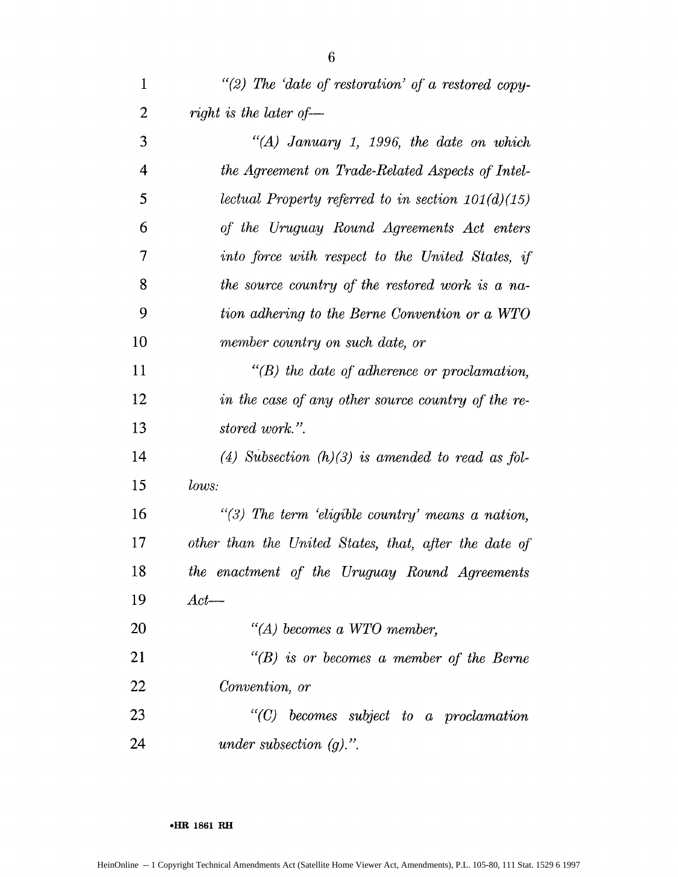| 1              | "(2) The 'date of restoration' of a restored copy-    |
|----------------|-------------------------------------------------------|
| $\overline{2}$ | right is the later of $-$                             |
| 3              | "(A) January 1, 1996, the date on which               |
| 4              | the Agreement on Trade-Related Aspects of Intel-      |
| 5              | lectual Property referred to in section $101(d)(15)$  |
| 6              | of the Uruguay Round Agreements Act enters            |
| 7              | into force with respect to the United States, if      |
| 8              | the source country of the restored work is a na-      |
| 9              | tion adhering to the Berne Convention or a WTO        |
| 10             | member country on such date, or                       |
| 11             | $\lq\lq(B)$ the date of adherence or proclamation,    |
| 12             | in the case of any other source country of the re-    |
| 13             | stored work.".                                        |
| 14             | (4) Subsection $(h)(3)$ is amended to read as fol-    |
| 15             | lows:                                                 |
| 16             | $``(3)$ The term 'eligible country' means a nation,   |
| 17             | other than the United States, that, after the date of |
| 18             | the enactment of the Uruguay Round Agreements         |
| 19             | $Act$ —                                               |
| 20             | $\lq (A)$ becomes a WTO member,                       |
| 21             | $H(B)$ is or becomes a member of the Berne            |
| 22             | Convention, or                                        |
|                |                                                       |

*"(C) becomes subject to a proclamation under subsection (g).".*

\*HR **1861 RH**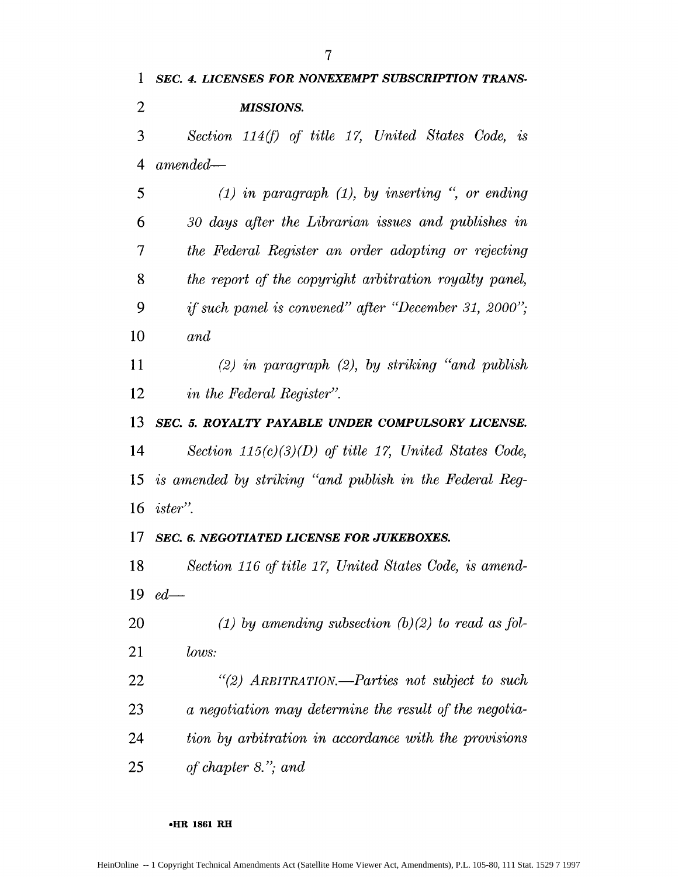*Section* 114(f) *of title 17, United States Code, is 4 amended-5 (1) in paragraph (1), by inserting* ", *or ending 6 30 days after the Librarian issues and publishes in 7 the Federal Register an order adopting or rejecting the report of the copyright arbitration royalty panel, 9 if such panel is convened" after "December 31, 2000" and (2) in paragraph (2), by striking "and publish in the Federal Register". SEC. 5. ROYALTY PAYABLE UNDER COMPULSORY LICENSE. Section 115(c)(3)(D) of title 17, United States Code, 15 is amended by striking "and publish in the Federal Reg-ister". SEC. 6. NEGOTIATED LICENSE FOR JUKEBOXES. Section 116 of title 17, United States Code, is amend-ed-(1) by amending subsection (b) (2) to read as fbl-lows: "(2) ARBITRATION.-Parties not subject to such a negotiation may determine the result of the negotia-tion by arbitration in accordance with the provisions of chapter 8. " and*

## **eHIR 1861 RH**

*SEC. 4. LICENSES FOR NONEXEMPT SUBSCRIPTION TRANS-*

*MISSIONS.*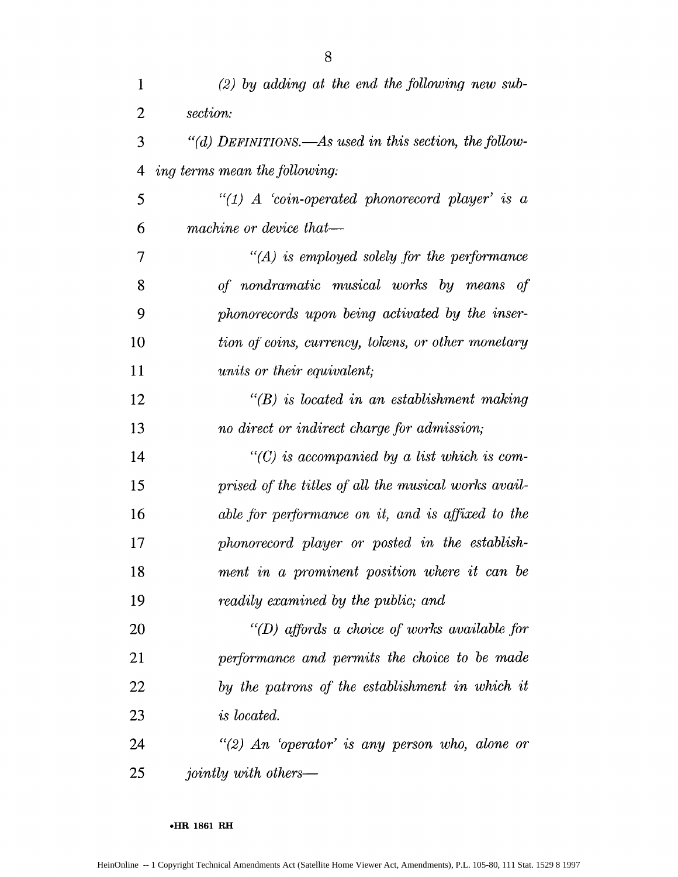| 1  | $(2)$ by adding at the end the following new sub-      |
|----|--------------------------------------------------------|
| 2  | section:                                               |
| 3  | "(d) DEFINITIONS.—As used in this section, the follow- |
| 4  | ing terms mean the following:                          |
| 5  | "(1) A 'coin-operated phonorecord player' is a         |
| 6  | machine or device that-                                |
| 7  | $H(A)$ is employed solely for the performance          |
| 8  | of nondramatic musical works by means of               |
| 9  | phonorecords upon being activated by the inser-        |
| 10 | tion of coins, currency, tokens, or other monetary     |
| 11 | units or their equivalent;                             |
| 12 | $\lq\lq(B)$ is located in an establishment making      |
| 13 | no direct or indirect charge for admission;            |
| 14 | $C(C)$ is accompanied by a list which is com-          |
| 15 | prised of the titles of all the musical works avail-   |
| 16 | able for performance on it, and is affixed to the      |
| 17 | phonorecord player or posted in the establish-         |
| 18 | ment in a prominent position where it can be           |
| 19 | readily examined by the public; and                    |
| 20 | "( $D$ ) affords a choice of works available for       |
| 21 | performance and permits the choice to be made          |
| 22 | by the patrons of the establishment in which it        |
| 23 | <i>is located.</i>                                     |
| 24 | "(2) An 'operator' is any person who, alone or         |
| 25 | <i>jointly with others—</i>                            |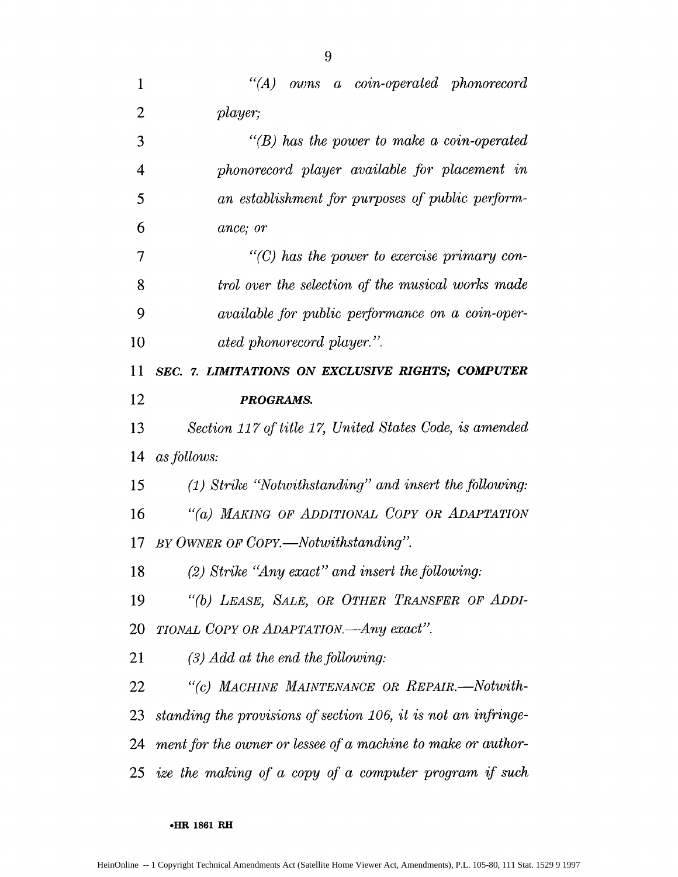| 1              | $\lq (A)$<br>owns a coin-operated phonorecord                  |
|----------------|----------------------------------------------------------------|
| $\overline{2}$ | player;                                                        |
| 3              | $\lq\lq(B)$ has the power to make a coin-operated              |
| 4              | phonorecord player available for placement in                  |
| 5              | an establishment for purposes of public perform-               |
| 6              | ance; or                                                       |
| 7              | $\lq\lq$ (C) has the power to exercise primary con-            |
| 8              | trol over the selection of the musical works made              |
| 9              | <i>available for public performance on a coin-oper-</i>        |
| 10             | ated phonorecord player.".                                     |
| 11             | SEC. 7. LIMITATIONS ON EXCLUSIVE RIGHTS; COMPUTER              |
| 12             | PROGRAMS.                                                      |
| 13             | Section 117 of title 17, United States Code, is amended        |
| 14             | as follows:                                                    |
| 15             | $(1)$ Strike "Notwithstanding" and insert the following:       |
| 16             | "(a) MAKING OF ADDITIONAL COPY OR ADAPTATION                   |
| 17             | BY OWNER OF COPY.—Notwithstanding".                            |
| 18             | $(2)$ Strike "Any exact" and insert the following:             |
| 19             | "(b) LEASE, SALE, OR OTHER TRANSFER OF ADDI-                   |
| 20             | TIONAL COPY OR ADAPTATION.—Any exact".                         |
| 21             | $(3)$ Add at the end the following:                            |
| 22             | "(c) MACHINE MAINTENANCE OR REPAIR.-Notwith-                   |
| 23             | standing the provisions of section 106, it is not an infringe- |
| 24             | ment for the owner or lessee of a machine to make or author-   |
|                | 25 ize the making of a copy of a computer program if such      |

# **\*HR 1861 RH**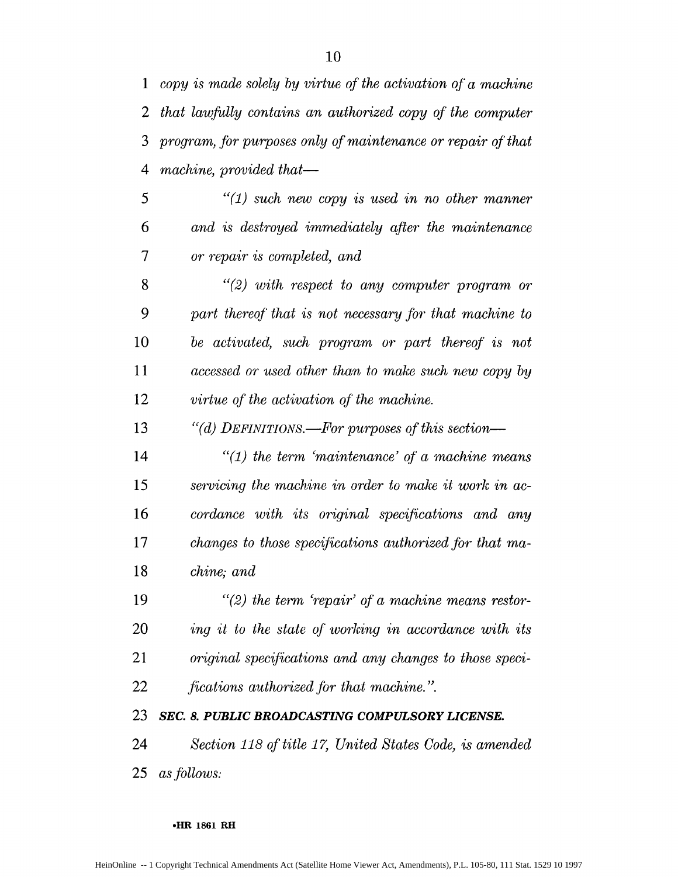*1 copy is made solely by virtue of the activation of a machine that lawfully contains an authorized copy of the computer program, fbr purposes only of maintenance or repair of that 4 machine, provided that-*

*5 "(1) such new copy is used in no other manner 6 and is destroyed immediately after the maintenance 7 or repair is completed, and*

*"(2) with respect to any computer program or 9 part thereof\* that is not necessary for that machine to be activated, such program or part thereof is not accessed or used other than to make such new copy by virtue of the activation of the machine.*

*"(d) DEFINITIONS.-For purposes of this section-*

*"(1) the term 'maintenance' of a machine means servicing the machine in order to make it work in ac-cordance with its original specifications and any changes to those specifications authorized jbr that ma-chine; and*

*"(2) the term 'repair' of a machine means restor-ing it to the state of working in accordance with its original specifications and any changes to those speci-fications authorized for that machine.* **".**

*SEC. 8. PUBLIC BROADCASTING COMPULSORY LICENSE.*

*Section 118 of title 17, United States Code, is amended 25 as follows:*

**eR 1861 RH**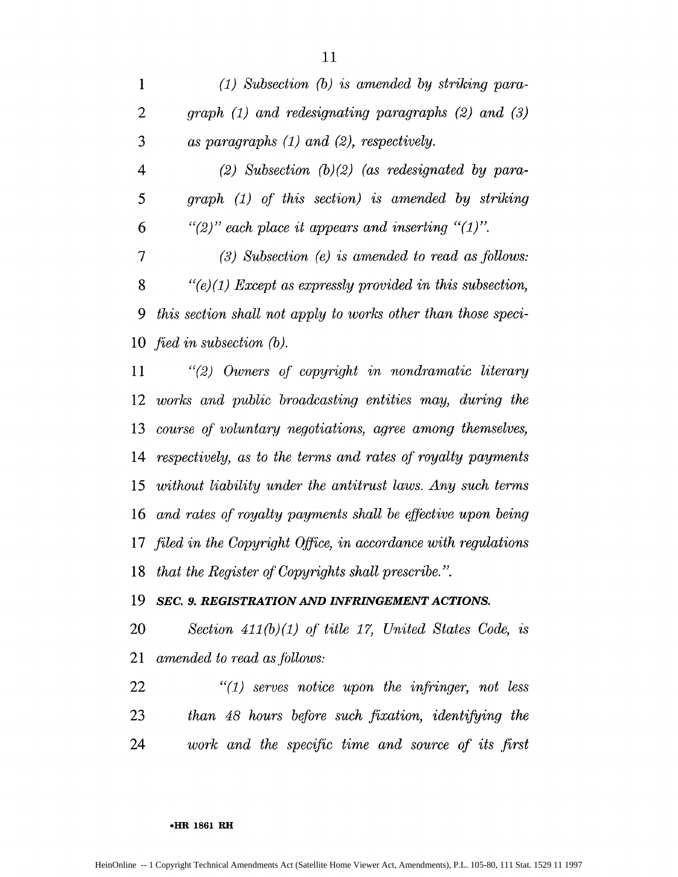*(1) Subsection (b) is amended by striking para-graph (1) and redesignating paragraphs (2) and (3) as paragraphs (1) and (2), respectively.*

*4 (2) Subsection (b)(2) (as redesignated by para-5 graph (1) of this section) is amended by striking 6 "(2)" each place it appears and inserting "(1)".*

 (3) Subsection (e) is amended to read as follows: *"(e) (1) Except as expressly provided in this subsection, 9 this section shall not apply to works other than those speci-fied in subsection (b).*

*"(2) Owners of copyright in nondramatic literary works and public broadcasting entities may, during the course of voluntary negotiations, agree among themselves, respectively, as to the terms and rates of royalty payments without liability under the antitrust laws. Any such terms and rates of royalty payments shall be effrctive upon being filed in the Copyright Qffice, in accordance with regulations that the Register of Copyrights shall prescribe. ".*

# *SEC. 9. REGISTRATION AND INFRINGEMENT ACTIONS.*

*Section 411(b)(1) of title 17, United States Code, is amended to read as jbllows:*

*"(1) serves notice upon the infringer, not less than 48 hours befbre such fixation, identifying the work and the specific time and source of its first*

### **HR 1861 RH**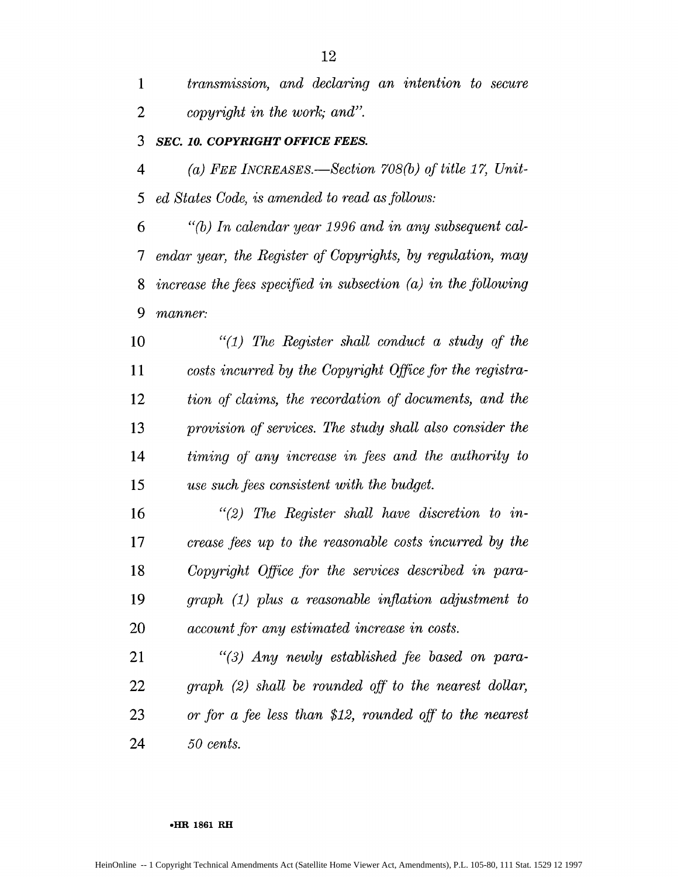*transmission, and declaring an intention to secure copyright in the work; and".*

# *SEC. 10. COPYRIGHT OFFICE FEES.*

*(a) FEE lICREASES.-Section 708(b) of title* **17,** *Unit-5 ed States Code, is amended to read as fbllows:*

*6 "(b) In calendar year 1996 and in any subsequent cal-7 endar year, the Register of Copyrights, by regulation, may increase the fees specified in subsection (a) in the following 9 manner:*

*"(1) The Register shall conduct a study of the costs incurred by the Copyright Office for the registra-tion of claims, the recordation of documents, and the provision of services. The study shall also consider the timing* **qf** *any increase in .fees and the authority to use such fees consistent with the budget.*

*"(2) The Register shall have discretion to in-crease fees up to the reasonable costs incurred by the Copyright Office fir the services described in para-graph (1) plus a reasonable inflation adjustment to account for any estimated increase in costs.* 

*"(3) Any newly established* fee *based on para-graph (2) shall be rounded off' to the nearest dollar, or for a fee less than \$12, rounded off to the nearest 50 cents.*

#### **.HR 1861 RH**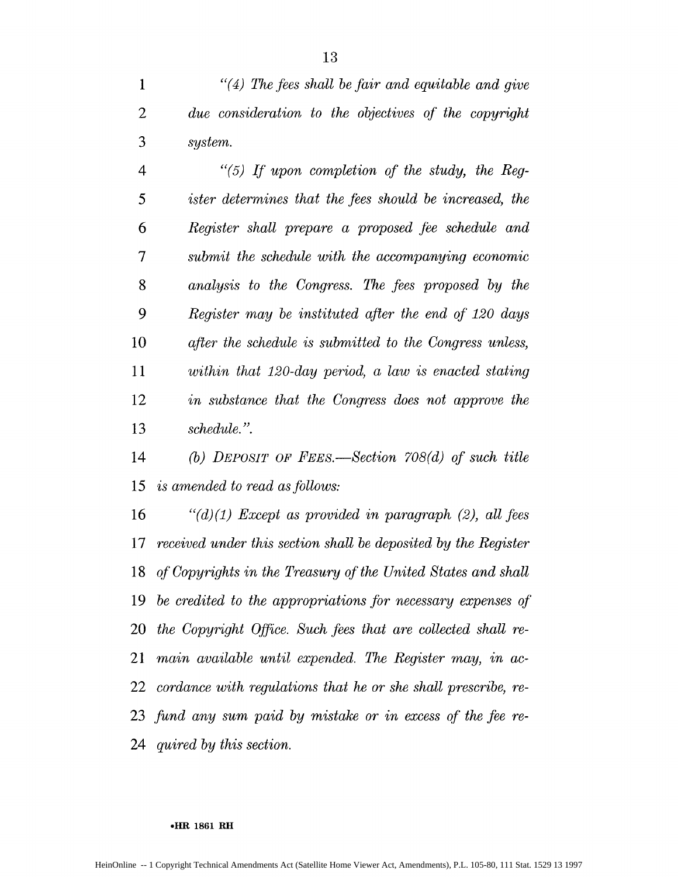*"(4) The fees shall be fair and equitable and give due consideration to the objectives of the copyright system.*

*4 "(5) If upon completion of the study, the Reg-5 ister determines that the fees should be increased, the Register shall prepare a proposed fee schedule and 7 submit the schedule with the accompanying economic analysis to the Congress. The fees proposed by the 9 Register may be instituted after the end of 120 days after the schedule is submitted to the Congress unless, 11 within that 120-day period, a law is enacted stating in substance that the Congress does not approve the schedule. ".*

*(b) DEPOSIT OF FEES.-Section 708(d) of such title is amended to read as follows:*

*"(d)(1) Except as provided in paragraph (2), all fees received under this section shall be deposited by the Register of Copyrights in the Treasury of the United States and shall be credited to the appropriations for necessary expenses of the Copyright Qffice. Such fees that are collected shall re-main available until expended. The Register may, in ac-cordance with regulations that he or she shall prescribe, re-fund any sum paid by mistake or in excess of the fee re-quired by this section.*

### **eHR 1861 RH**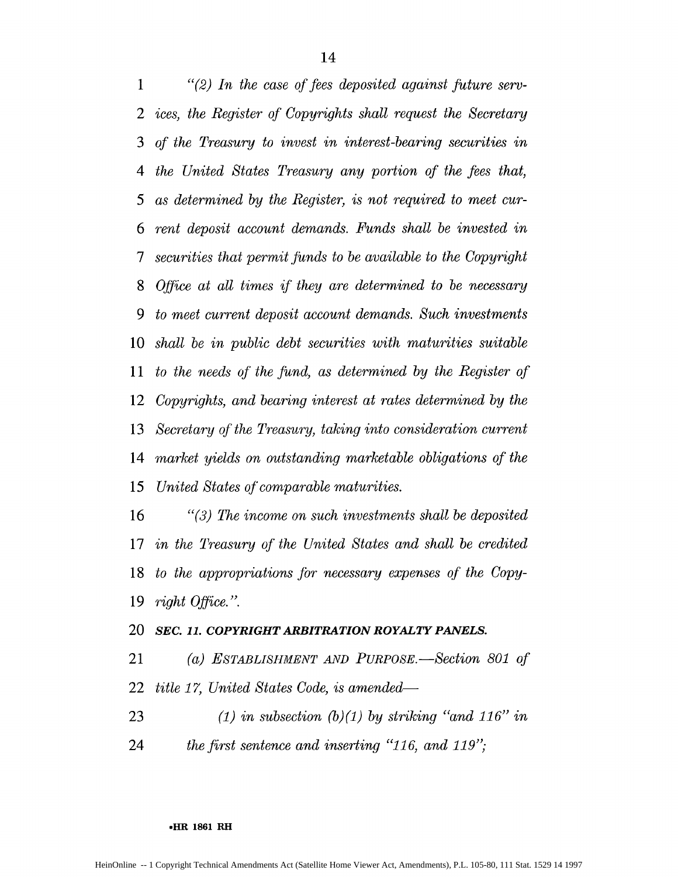*"(2) In the case of fees deposited against future serv-ices, the Register of Copyrights shall request the Secretary of the Treasury to invest in interest-bearing securities in 4 the United States Treasury any portion of the fees that, 5 as determined by the Register, is not required to meet cur-rent deposit account demands. Funds shall be invested in 7 securities that permit.finds to be available to the Copyright Office at all times if they are determined to be necessary 9 to meet current deposit account demands. Such investments shall be in public debt securities with maturities suitable to the needs* of *the fitnd, as determined by the Register of Copyrights, and bearing interest at rates determined by the Secretary of the Treasury, taking into consideration current market yields on outstanding marketable obligations of the 15 United States qf comparable maturities.*

*"(3) The income on such investments shall be deposited in the Treasury of the United States and shall be credited to the appropriations for necessary expenses of the Copy-right Office. ".*

## *SEC. 11. COPYRIGHT ARBITRATION ROYALTY PANELS.*

*(a) ESTABLISHMENT AND PURPOSE. -Section 801 of title 17, United States Code, is amended-*

*(1) in subsection (b)(1) by striking "and 116" in the first sentence and inserting "116, and 119"*

**HIR 1861 RH**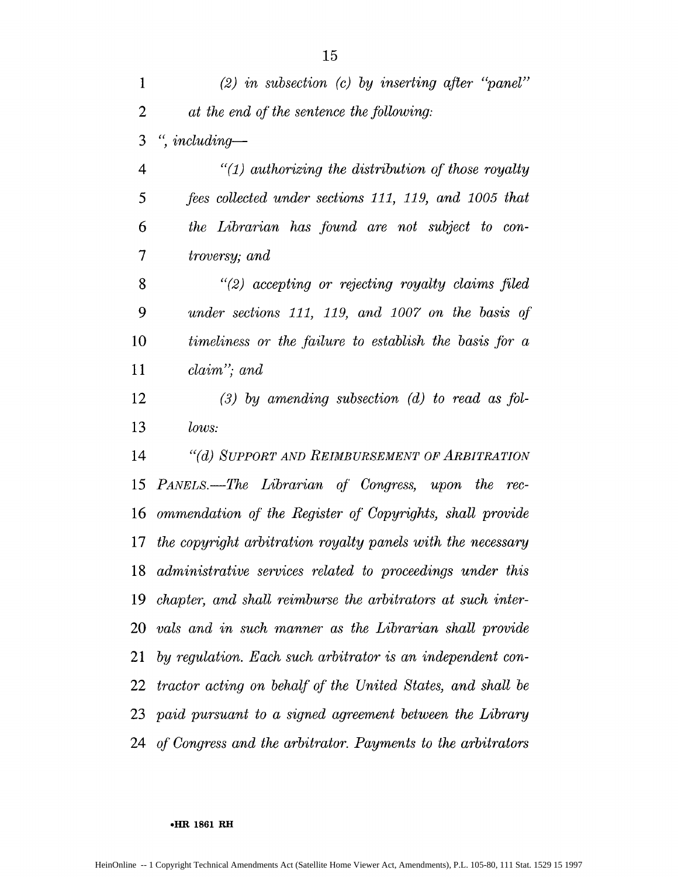*(2) in subsection (c) by inserting after "panel" at the end of the sentence the fbllowing: ", including-4 "(1) authorizing the distribution of those royalty 5 fees collected under sections 111, 119, and 1005 that 6 the Librarian has Jbund are not subject to con-7 troversy; and "(2) accepting or rejecting royalty claims filed 9 under sections 111, 119, and 1007 on the basis of* timeliness or the failure to establish the basis for a *claim"; and (3) by amending subsection (d)* to read as fol-*lows: "(d) SUPPORT AND REIMBURSEMENT OF ARBITRATION 15 PANELS.-The Librarian of Congress, upon the rec-ommendation of the Register qf Copyrights, shall provide the copyright arbitration royalty panels with the necessary administrative services related to proceedings under this chapter, and shall reimburse the arbitrators at such inter-vals and in such manner as the Librarian shall provide by regulation. Each such arbitrator is an independent con-tractor acting on behalf of the United States, and shall be paid pursuant to a signed agreement between the Library of Congress and the arbitrator. Payments to the arbitrators*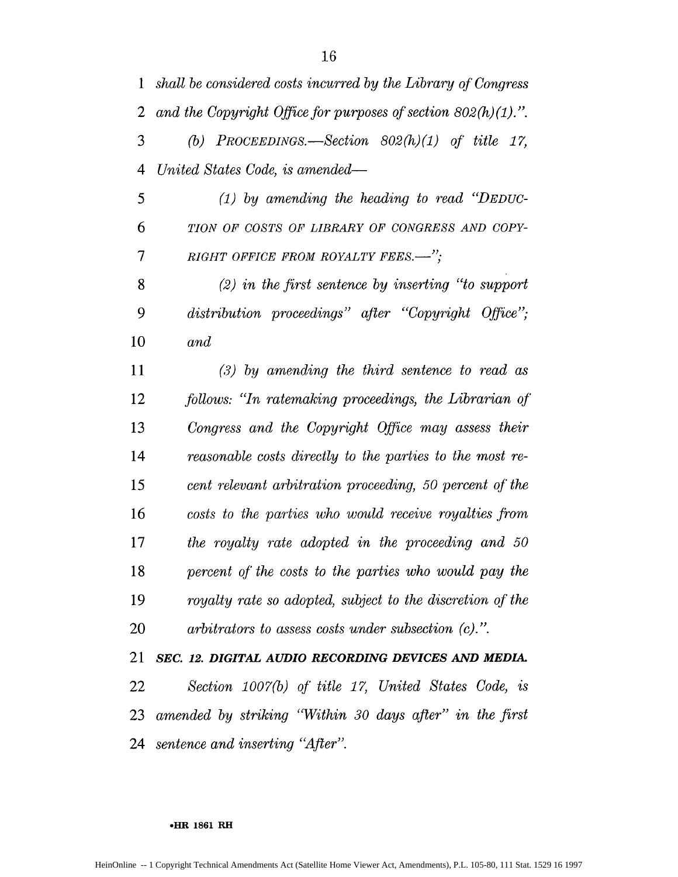*shall be considered costs incurred by the Library of Congress and the Copyright Office for purposes of section 802(h) (1). (b) PROCEEDINGS.-Section 802(h)(1) of title 17,*

*4 United States Code, is amended-*

*5 (1) by amending the heading to read "DEDUC-TION OF COSTS OF LIBRARY OF CONGRESS AND COPY-7 RIGHT OFFICE FROM ROYALTY FEES.-",*

*(2) in the first sentence by inserting "to support 9 distribution proceedings" after "Copyright Office" and*

*(3) by amending the third sentence to read as follows: "In ratemaking proceedings, the Librarian of Congress and the Copyright Office may assess their reasonable costs directly to the parties to the most re-cent relevant arbitration proceeding, 50 percent of' the costs to the parties who would receive royalties from the royalty rate adopted in the proceeding and 50 percent of the costs to the parties who would pay the royalty rate so adopted, subject to the discretion of the arbitrators to assess costs under subsection (c).".*

*SEC. 12. DIGITAL AUDIO RECORDING DEVICES AND MEDIA. Section 1007(b) of title 17, United States Code, is amended by striking "Within 30 days after" in the first sentence and inserting "After".*

### **\*HR 1861 RE**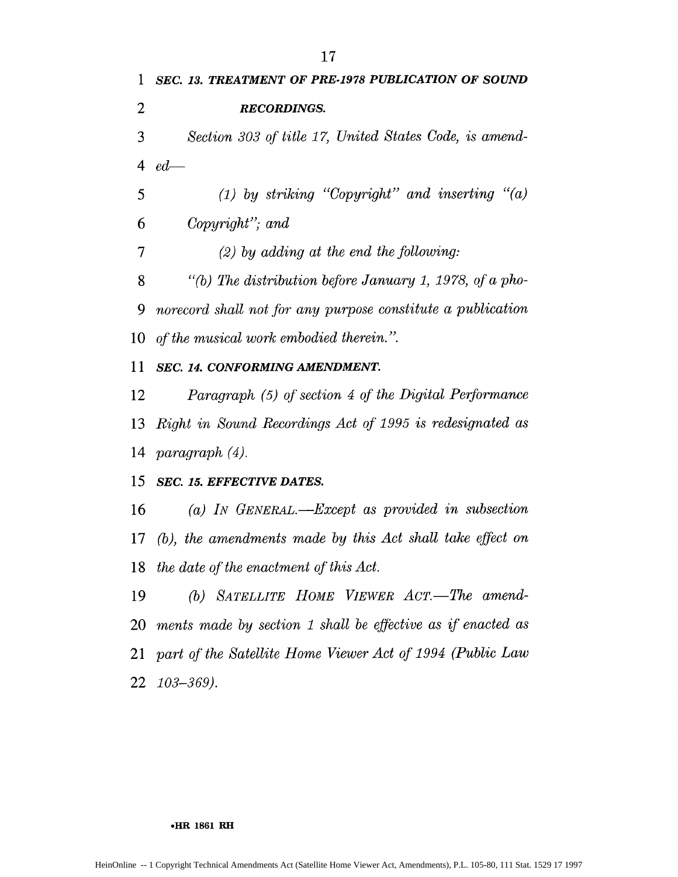*SEC. 13. TREATMENT OF PRE-1978 PUBLICATION OF SOUND RECORDINGS. Section 303 qf title 17, United States Code, is amend-4 ed-(1) by striking "Copyright" and inserting "(a) 6 Copyright" and 7 (2) by adding at the end the following: "(b) The distribution before January 1, 1978, of a pho-* norecord shall not for any purpose constitute a publication *of the musical work embodied therein." SEC. 14. CONFORMING AMENDMENT. Paragraph (5) of section 4 of the Digital Performance Right in Sound Recordings Act of 1995 is redesignated as paragraph (4). SEC. 15. EFFECTIVE DATES. (a) IN GENERAL.-Except as provided in subsection (b), the amendments made by this Act shall take effect on the date of the enactment of this Act. (b)* SATELLITE HOME VIEWER ACT.—The amend-*ments made by section 1 shall be effective as if enacted as part qf the Satellite Home Viewer Act of 1994 (Public Law 103-369).*

#### **\*HR 1861 RH**

HeinOnline -- 1 Copyright Technical Amendments Act (Satellite Home Viewer Act, Amendments), P.L. 105-80, 111 Stat. 1529 17 1997